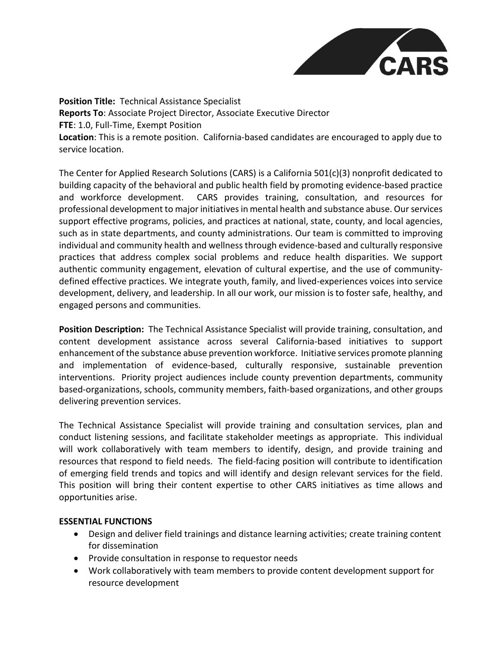

**Position Title:** Technical Assistance Specialist **Reports To**: Associate Project Director, Associate Executive Director **FTE**: 1.0, Full-Time, Exempt Position **Location**: This is a remote position. California-based candidates are encouraged to apply due to service location.

The Center for Applied Research Solutions (CARS) is a California 501(c)(3) nonprofit dedicated to building capacity of the behavioral and public health field by promoting evidence-based practice and workforce development. CARS provides training, consultation, and resources for professional development to major initiatives in mental health and substance abuse. Our services support effective programs, policies, and practices at national, state, county, and local agencies, such as in state departments, and county administrations. Our team is committed to improving individual and community health and wellness through evidence-based and culturally responsive practices that address complex social problems and reduce health disparities. We support authentic community engagement, elevation of cultural expertise, and the use of communitydefined effective practices. We integrate youth, family, and lived-experiences voices into service development, delivery, and leadership. In all our work, our mission is to foster safe, healthy, and engaged persons and communities.

**Position Description:** The Technical Assistance Specialist will provide training, consultation, and content development assistance across several California-based initiatives to support enhancement of the substance abuse prevention workforce. Initiative services promote planning and implementation of evidence-based, culturally responsive, sustainable prevention interventions. Priority project audiences include county prevention departments, community based-organizations, schools, community members, faith-based organizations, and other groups delivering prevention services.

The Technical Assistance Specialist will provide training and consultation services, plan and conduct listening sessions, and facilitate stakeholder meetings as appropriate. This individual will work collaboratively with team members to identify, design, and provide training and resources that respond to field needs. The field-facing position will contribute to identification of emerging field trends and topics and will identify and design relevant services for the field. This position will bring their content expertise to other CARS initiatives as time allows and opportunities arise.

## **ESSENTIAL FUNCTIONS**

- Design and deliver field trainings and distance learning activities; create training content for dissemination
- Provide consultation in response to requestor needs
- Work collaboratively with team members to provide content development support for resource development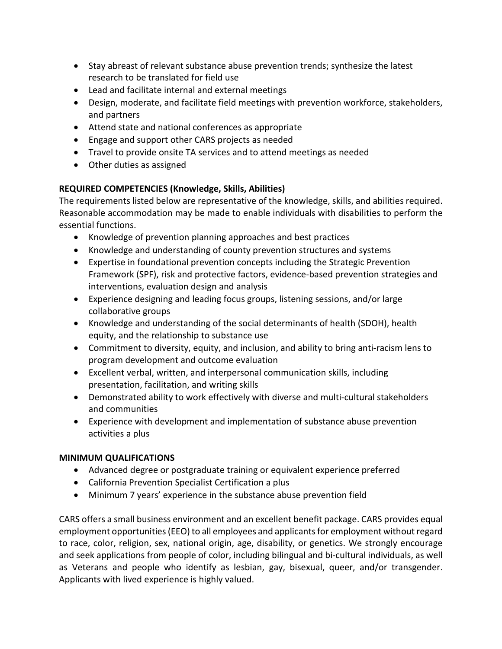- Stay abreast of relevant substance abuse prevention trends; synthesize the latest research to be translated for field use
- Lead and facilitate internal and external meetings
- Design, moderate, and facilitate field meetings with prevention workforce, stakeholders, and partners
- Attend state and national conferences as appropriate
- Engage and support other CARS projects as needed
- Travel to provide onsite TA services and to attend meetings as needed
- Other duties as assigned

## **REQUIRED COMPETENCIES (Knowledge, Skills, Abilities)**

The requirements listed below are representative of the knowledge, skills, and abilities required. Reasonable accommodation may be made to enable individuals with disabilities to perform the essential functions.

- Knowledge of prevention planning approaches and best practices
- Knowledge and understanding of county prevention structures and systems
- Expertise in foundational prevention concepts including the Strategic Prevention Framework (SPF), risk and protective factors, evidence-based prevention strategies and interventions, evaluation design and analysis
- Experience designing and leading focus groups, listening sessions, and/or large collaborative groups
- Knowledge and understanding of the social determinants of health (SDOH), health equity, and the relationship to substance use
- Commitment to diversity, equity, and inclusion, and ability to bring anti-racism lens to program development and outcome evaluation
- Excellent verbal, written, and interpersonal communication skills, including presentation, facilitation, and writing skills
- Demonstrated ability to work effectively with diverse and multi-cultural stakeholders and communities
- Experience with development and implementation of substance abuse prevention activities a plus

## **MINIMUM QUALIFICATIONS**

- Advanced degree or postgraduate training or equivalent experience preferred
- California Prevention Specialist Certification a plus
- Minimum 7 years' experience in the substance abuse prevention field

CARS offers a small business environment and an excellent benefit package. CARS provides equal employment opportunities (EEO) to all employees and applicants for employment without regard to race, color, religion, sex, national origin, age, disability, or genetics. We strongly encourage and seek applications from people of color, including bilingual and bi-cultural individuals, as well as Veterans and people who identify as lesbian, gay, bisexual, queer, and/or transgender. Applicants with lived experience is highly valued.